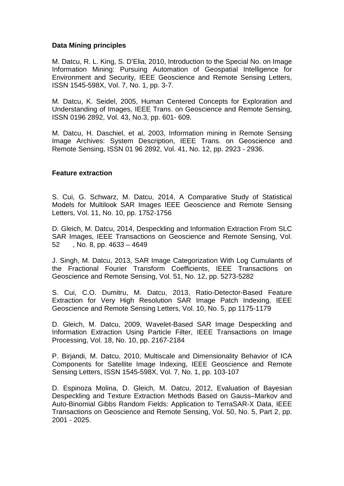## **Data Mining principles**

M. Datcu, R. L. King, S. D'Elia, 2010, Introduction to the Special No. on Image Information Mining: Pursuing Automation of Geospatial Intelligence for Environment and Security, IEEE Geoscience and Remote Sensing Letters, ISSN 1545-598X, Vol. 7, No. 1, pp. 3-7.

M. Datcu, K. Seidel, 2005, Human Centered Concepts for Exploration and Understanding of Images, IEEE Trans. on Geoscience and Remote Sensing, ISSN 0196 2892, Vol. 43, No.3, pp. 601- 609.

M. Datcu, H. Daschiel, et al, 2003, Information mining in Remote Sensing Image Archives: System Description, IEEE Trans. on Geoscience and Remote Sensing, ISSN 01 96 2892, Vol. 41, No. 12, pp. 2923 - 2936.

## **Feature extraction**

S. Cui, G. Schwarz, M. Datcu, 2014, A Comparative Study of Statistical Models for Multilook SAR Images IEEE Geoscience and Remote Sensing Letters, Vol. 11, No. 10, pp. 1752-1756

D. Gleich, M. Datcu, 2014, Despeckling and Information Extraction From SLC SAR Images, IEEE Transactions on Geoscience and Remote Sensing, Vol. 52 , No. 8, pp. 4633 – 4649

J. Singh, M. Datcu, 2013, SAR Image Categorization With Log Cumulants of the Fractional Fourier Transform Coefficients, IEEE Transactions on Geoscience and Remote Sensing, Vol. 51, No. 12, pp. 5273-5282

S. Cui, C.O. Dumitru, M. Datcu, 2013, Ratio-Detector-Based Feature Extraction for Very High Resolution SAR Image Patch Indexing, IEEE Geoscience and Remote Sensing Letters, Vol. 10, No. 5, pp 1175-1179

D. Gleich, M. Datcu, 2009, Wavelet-Based SAR Image Despeckling and Information Extraction Using Particle Filter, IEEE Transactions on Image Processing, Vol. 18, No. 10, pp. 2167-2184

P. Birjandi, M. Datcu, 2010, Multiscale and Dimensionality Behavior of ICA Components for Satellite Image Indexing, IEEE Geoscience and Remote Sensing Letters, ISSN 1545-598X, Vol. 7, No. 1, pp. 103-107

D. Espinoza Molina, D. Gleich, M. Datcu, 2012, Evaluation of Bayesian Despeckling and Texture Extraction Methods Based on Gauss–Markov and Auto-Binomial Gibbs Random Fields: Application to TerraSAR-X Data, IEEE Transactions on Geoscience and Remote Sensing, Vol. 50, No. 5, Part 2, pp. 2001 - 2025.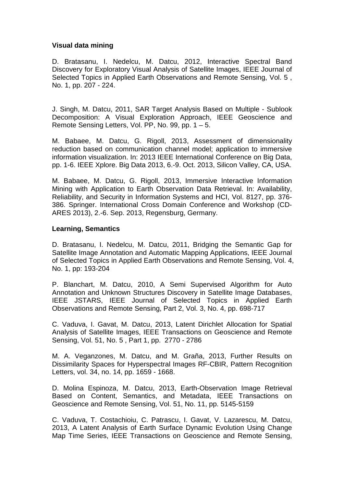## **Visual data mining**

D. Bratasanu, I. Nedelcu, M. Datcu, 2012, Interactive Spectral Band Discovery for Exploratory Visual Analysis of Satellite Images, IEEE Journal of Selected Topics in Applied Earth Observations and Remote Sensing, Vol. 5 , No. 1, pp. 207 - 224.

J. Singh, M. Datcu, 2011, SAR Target Analysis Based on Multiple - Sublook Decomposition: A Visual Exploration Approach, IEEE Geoscience and Remote Sensing Letters, Vol. PP, No. 99, pp. 1 – 5.

M. Babaee, M. Datcu, G. Rigoll, 2013, Assessment of dimensionality reduction based on communication channel model; application to immersive information visualization. In: 2013 IEEE International Conference on Big Data, pp. 1-6. IEEE Xplore. Big Data 2013, 6.-9. Oct. 2013, Silicon Valley, CA, USA.

M. Babaee, M. Datcu, G. Rigoll, 2013, Immersive Interactive Information Mining with Application to Earth Observation Data Retrieval. In: Availability, Reliability, and Security in Information Systems and HCI, Vol. 8127, pp. 376- 386. Springer. International Cross Domain Conference and Workshop (CD-ARES 2013), 2.-6. Sep. 2013, Regensburg, Germany.

## **Learning, Semantics**

D. Bratasanu, I. Nedelcu, M. Datcu, 2011, Bridging the Semantic Gap for Satellite Image Annotation and Automatic Mapping Applications, IEEE Journal of Selected Topics in Applied Earth Observations and Remote Sensing, Vol. 4, No. 1, pp: 193-204

P. Blanchart, M. Datcu, 2010, A Semi Supervised Algorithm for Auto Annotation and Unknown Structures Discovery in Satellite Image Databases, IEEE JSTARS, IEEE Journal of Selected Topics in Applied Earth Observations and Remote Sensing, Part 2, Vol. 3, No. 4, pp. 698-717

C. Vaduva, I. Gavat, M. Datcu, 2013, Latent Dirichlet Allocation for Spatial Analysis of Satellite Images, IEEE Transactions on Geoscience and Remote Sensing, Vol. 51, No. 5 , Part 1, pp. 2770 - 2786

M. A. Veganzones, M. Datcu, and M. Graña, 2013, Further Results on Dissimilarity Spaces for Hyperspectral Images RF-CBIR, Pattern Recognition Letters, vol. 34, no. 14, pp. 1659 - 1668.

D. Molina Espinoza, M. Datcu, 2013, Earth-Observation Image Retrieval Based on Content, Semantics, and Metadata, IEEE Transactions on Geoscience and Remote Sensing, Vol. 51, No. 11, pp. 5145-5159

C. Vaduva, T. Costachioiu, C. Patrascu, I. Gavat, V. Lazarescu, M. Datcu, 2013, A Latent Analysis of Earth Surface Dynamic Evolution Using Change Map Time Series, IEEE Transactions on Geoscience and Remote Sensing,